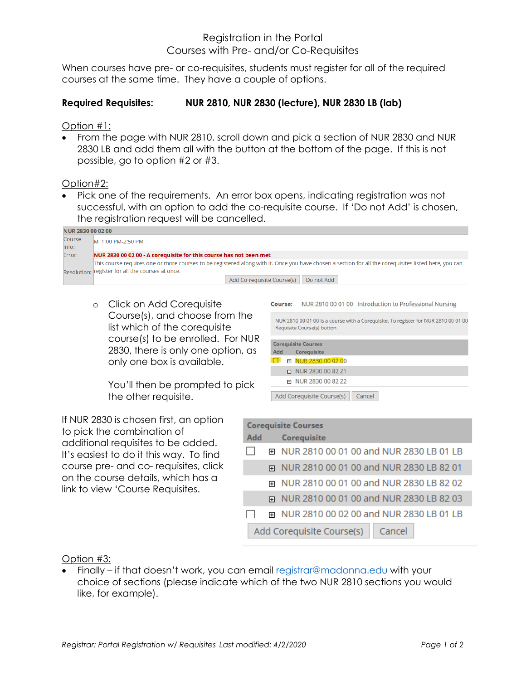## Registration in the Portal Courses with Pre- and/or Co-Requisites

When courses have pre- or co-requisites, students must register for all of the required courses at the same time. They have a couple of options.

## **Required Requisites: NUR 2810, NUR 2830 (lecture), NUR 2830 LB (lab)**

Option #1:

• From the page with NUR 2810, scroll down and pick a section of NUR 2830 and NUR 2830 LB and add them all with the button at the bottom of the page. If this is not possible, go to option #2 or #3.

Option#2:

• Pick one of the requirements. An error box opens, indicating registration was not successful, with an option to add the co-requisite course. If 'Do not Add' is chosen, the registration request will be cancelled.

| <b>NUR 2830 00 02 00</b> |                                                                                                                                                       |  |
|--------------------------|-------------------------------------------------------------------------------------------------------------------------------------------------------|--|
| Course                   | M 1:00 PM-2:50 PM                                                                                                                                     |  |
| Info:                    |                                                                                                                                                       |  |
| Error:                   | NUR 2830 00 02 00 - A coreguisite for this course has not been met                                                                                    |  |
|                          | This course requires one or more courses to be registered along with it. Once you have chosen a section for all the corequisites listed here, you can |  |
|                          | Resolution: register for all the courses at once.                                                                                                     |  |
|                          | Add Co-requisite Course(s)<br>Do not Add                                                                                                              |  |

o Click on Add Corequisite Course(s), and choose from the list which of the corequisite course(s) to be enrolled. For NUR 2830, there is only one option, as only one box is available.

You'll then be prompted to pick the other requisite.

If NUR 2830 is chosen first, an option to pick the combination of additional requisites to be added. It's easiest to do it this way. To find course pre- and co- requisites, click on the course details, which has a link to view 'Course Requisites.

Course: NUR 2810 00 01 00 Introduction to Professional Nursing NUR 2810 00 01 00 is a course with a Corequisite. To register for NUR 2810 00 01 00 Requisite Course(s) button. **Corequisite Courses** Add Corequisite □ 田 NUR 2830 00 02 00 **E** NUR 2830 00 82 Z1 田 NUR 2830 00 82 Z2 Add Corequisite Course(s) Cancel

| <b>Corequisite Courses</b>          |                                           |  |
|-------------------------------------|-------------------------------------------|--|
| Add                                 | <b>Corequisite</b>                        |  |
|                                     | 田 NUR 2810 00 01 00 and NUR 2830 LB 01 LB |  |
| 田                                   | NUR 2810 00 01 00 and NUR 2830 LB 82 01   |  |
|                                     | ⊞ NUR 2810 00 01 00 and NUR 2830 LB 82 02 |  |
|                                     | E NUR 2810 00 01 00 and NUR 2830 LB 82 03 |  |
|                                     | ⊞ NUR 2810 00 02 00 and NUR 2830 LB 01 LB |  |
| Add Corequisite Course(s)<br>Cancel |                                           |  |

Option #3:

• Finally – if that doesn't work, you can email [registrar@madonna.edu](mailto:registrar@madonna.edu) with your choice of sections (please indicate which of the two NUR 2810 sections you would like, for example).